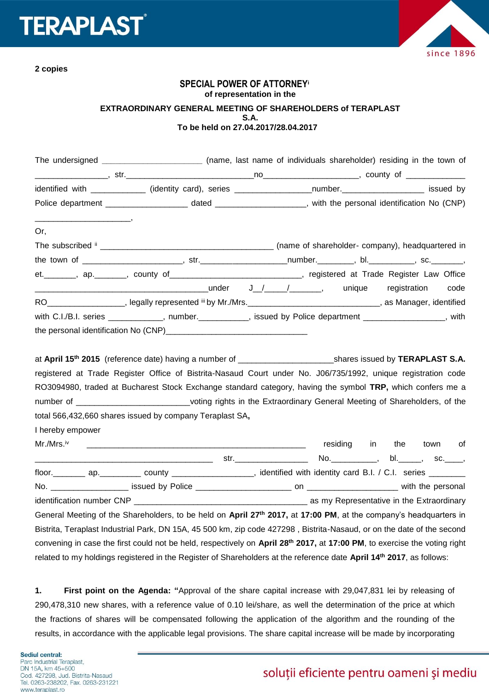



**2 copies**

## **SPECIAL POWER OF ATTORNEY<sup>i</sup> of representation in the EXTRAORDINARY GENERAL MEETING OF SHAREHOLDERS of TERAPLAST S.A. To be held on 27.04.2017/28.04.2017**

|                                 | The undersigned __________________________ (name, last name of individuals shareholder) residing in the town of                                                                                                                                                                                                                                  |  |                         |  |      |
|---------------------------------|--------------------------------------------------------------------------------------------------------------------------------------------------------------------------------------------------------------------------------------------------------------------------------------------------------------------------------------------------|--|-------------------------|--|------|
|                                 |                                                                                                                                                                                                                                                                                                                                                  |  |                         |  |      |
|                                 | identified with _____________ (identity card), series _________________number. ___________________ issued by                                                                                                                                                                                                                                     |  |                         |  |      |
|                                 |                                                                                                                                                                                                                                                                                                                                                  |  |                         |  |      |
| $\overline{\phantom{a}}$<br>Or, |                                                                                                                                                                                                                                                                                                                                                  |  |                         |  |      |
|                                 | The subscribed $\frac{1}{2}$ merces are company), headquartered in                                                                                                                                                                                                                                                                               |  |                         |  |      |
|                                 |                                                                                                                                                                                                                                                                                                                                                  |  |                         |  |      |
|                                 | et. _______, ap. ______, county of ____________________________, registered at Trade Register Law Office                                                                                                                                                                                                                                         |  |                         |  |      |
|                                 |                                                                                                                                                                                                                                                                                                                                                  |  |                         |  | code |
|                                 | RO___________________, legally represented iii by Mr./Mrs._______________________________, as Manager, identified                                                                                                                                                                                                                                |  |                         |  |      |
|                                 | with C.I./B.I. series ____________, number.__________, issued by Police department _______________, with                                                                                                                                                                                                                                         |  |                         |  |      |
|                                 |                                                                                                                                                                                                                                                                                                                                                  |  |                         |  |      |
|                                 | registered at Trade Register Office of Bistrita-Nasaud Court under No. J06/735/1992, unique registration code<br>RO3094980, traded at Bucharest Stock Exchange standard category, having the symbol TRP, which confers me a<br>number of _____________________________voting rights in the Extraordinary General Meeting of Shareholders, of the |  |                         |  |      |
|                                 | total 566,432,660 shares issued by company Teraplast SA,                                                                                                                                                                                                                                                                                         |  |                         |  |      |
| I hereby empower                |                                                                                                                                                                                                                                                                                                                                                  |  |                         |  |      |
| Mr./Mrs.™                       |                                                                                                                                                                                                                                                                                                                                                  |  | residing in the town of |  |      |
|                                 |                                                                                                                                                                                                                                                                                                                                                  |  |                         |  |      |
|                                 |                                                                                                                                                                                                                                                                                                                                                  |  |                         |  |      |
|                                 |                                                                                                                                                                                                                                                                                                                                                  |  |                         |  |      |
|                                 |                                                                                                                                                                                                                                                                                                                                                  |  |                         |  |      |
|                                 | General Meeting of the Shareholders, to be held on April 27 <sup>th</sup> 2017, at 17:00 PM, at the company's headquarters in                                                                                                                                                                                                                    |  |                         |  |      |
|                                 | Bistrita, Teraplast Industrial Park, DN 15A, 45 500 km, zip code 427298, Bistrita-Nasaud, or on the date of the second                                                                                                                                                                                                                           |  |                         |  |      |
|                                 | convening in case the first could not be held, respectively on April 28th 2017, at 17:00 PM, to exercise the voting right                                                                                                                                                                                                                        |  |                         |  |      |
|                                 | related to my holdings registered in the Register of Shareholders at the reference date April 14 <sup>th</sup> 2017, as follows:                                                                                                                                                                                                                 |  |                         |  |      |

**1. First point on the Agenda: "**Approval of the share capital increase with 29,047,831 lei by releasing of 290,478,310 new shares, with a reference value of 0.10 lei/share, as well the determination of the price at which the fractions of shares will be compensated following the application of the algorithm and the rounding of the results, in accordance with the applicable legal provisions. The share capital increase will be made by incorporating

Sediul central: Parc Industrial Teraplast, DN 15A, km 45+500 Cod. 427298, Jud. Bistrita-Nasaud Tel. 0263-238202, Fax. 0263-231221 www.teraplast.ro

# soluții eficiente pentru oameni și mediu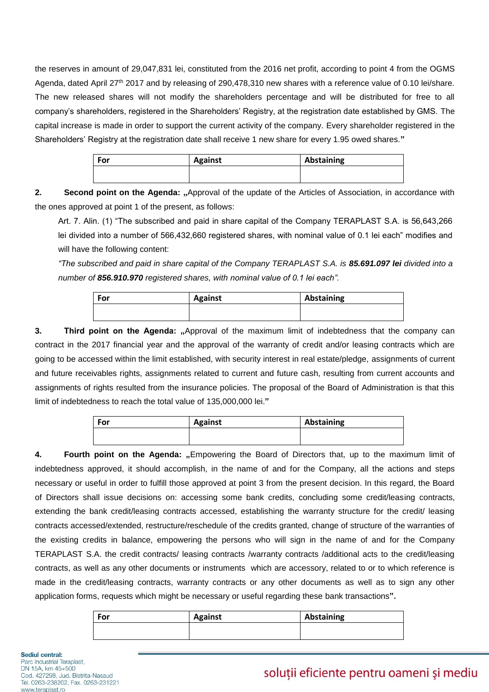the reserves in amount of 29,047,831 lei, constituted from the 2016 net profit, according to point 4 from the OGMS Agenda, dated April 27th 2017 and by releasing of 290,478,310 new shares with a reference value of 0.10 lei/share. The new released shares will not modify the shareholders percentage and will be distributed for free to all company's shareholders, registered in the Shareholders' Registry, at the registration date established by GMS. The capital increase is made in order to support the current activity of the company. Every shareholder registered in the Shareholders' Registry at the registration date shall receive 1 new share for every 1.95 owed shares.**"**

| For | <b>Against</b> | Abstaining |
|-----|----------------|------------|
|     |                |            |

**2. Second point on the Agenda:** "Approval of the update of the Articles of Association, in accordance with the ones approved at point 1 of the present, as follows:

Art. 7. Alin. (1) "The subscribed and paid in share capital of the Company TERAPLAST S.A. is 56,643,266 lei divided into a number of 566,432,660 registered shares, with nominal value of 0.1 lei each" modifies and will have the following content:

*"The subscribed and paid in share capital of the Company TERAPLAST S.A. is 85.691.097 lei divided into a number of 856.910.970 registered shares, with nominal value of 0.1 lei each".*

| For | <b>Against</b> | Abstaining |
|-----|----------------|------------|
|     |                |            |

**3. Third point on the Agenda:** "Approval of the maximum limit of indebtedness that the company can contract in the 2017 financial year and the approval of the warranty of credit and/or leasing contracts which are going to be accessed within the limit established, with security interest in real estate/pledge, assignments of current and future receivables rights, assignments related to current and future cash, resulting from current accounts and assignments of rights resulted from the insurance policies. The proposal of the Board of Administration is that this limit of indebtedness to reach the total value of 135,000,000 lei.**"**

| Abstaining |
|------------|
|            |
|            |

**4. Fourth point on the Agenda: "**Empowering the Board of Directors that, up to the maximum limit of indebtedness approved, it should accomplish, in the name of and for the Company, all the actions and steps necessary or useful in order to fulfill those approved at point 3 from the present decision. In this regard, the Board of Directors shall issue decisions on: accessing some bank credits, concluding some credit/leasing contracts, extending the bank credit/leasing contracts accessed, establishing the warranty structure for the credit/ leasing contracts accessed/extended, restructure/reschedule of the credits granted, change of structure of the warranties of the existing credits in balance, empowering the persons who will sign in the name of and for the Company TERAPLAST S.A. the credit contracts/ leasing contracts /warranty contracts /additional acts to the credit/leasing contracts, as well as any other documents or instruments which are accessory, related to or to which reference is made in the credit/leasing contracts, warranty contracts or any other documents as well as to sign any other application forms, requests which might be necessary or useful regarding these bank transactions**".**

| For | <b>Against</b> | Abstaining |
|-----|----------------|------------|
|     |                |            |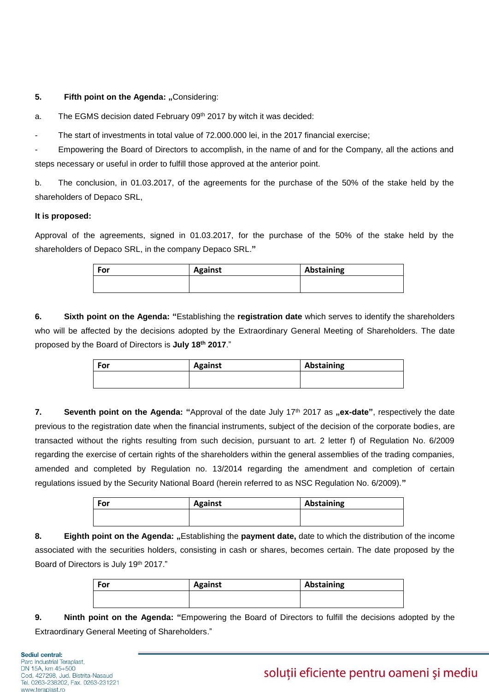#### **5. Fifth point on the Agenda: "Considering:**

a. The EGMS decision dated February 09th 2017 by witch it was decided:

The start of investments in total value of 72,000,000 lei, in the 2017 financial exercise;

Empowering the Board of Directors to accomplish, in the name of and for the Company, all the actions and steps necessary or useful in order to fulfill those approved at the anterior point.

b. The conclusion, in 01.03.2017, of the agreements for the purchase of the 50% of the stake held by the shareholders of Depaco SRL,

#### **It is proposed:**

Approval of the agreements, signed in 01.03.2017, for the purchase of the 50% of the stake held by the shareholders of Depaco SRL, in the company Depaco SRL.**"**

| For | <b>Against</b> | Abstaining |
|-----|----------------|------------|
|     |                |            |

**6. Sixth point on the Agenda: "**Establishing the **registration date** which serves to identify the shareholders who will be affected by the decisions adopted by the Extraordinary General Meeting of Shareholders. The date proposed by the Board of Directors is **July 18th 2017**."

| For | <b>Against</b> | Abstaining |
|-----|----------------|------------|
|     |                |            |
|     |                |            |

**7. Seventh point on the Agenda:** "Approval of the date July 17<sup>th</sup> 2017 as "ex-date", respectively the date previous to the registration date when the financial instruments, subject of the decision of the corporate bodies, are transacted without the rights resulting from such decision, pursuant to art. 2 letter f) of Regulation No. 6/2009 regarding the exercise of certain rights of the shareholders within the general assemblies of the trading companies, amended and completed by Regulation no. 13/2014 regarding the amendment and completion of certain regulations issued by the Security National Board (herein referred to as NSC Regulation No. 6/2009).**"**

| <b>For</b> | <b>Against</b> | Abstaining |
|------------|----------------|------------|
|            |                |            |
|            |                |            |

8. **Eighth point on the Agenda:** "Establishing the payment date, date to which the distribution of the income associated with the securities holders, consisting in cash or shares, becomes certain. The date proposed by the Board of Directors is July 19<sup>th</sup> 2017."

| For | <b>Against</b> | Abstaining |
|-----|----------------|------------|
|     |                |            |

**9. Ninth point on the Agenda: "**Empowering the Board of Directors to fulfill the decisions adopted by the Extraordinary General Meeting of Shareholders."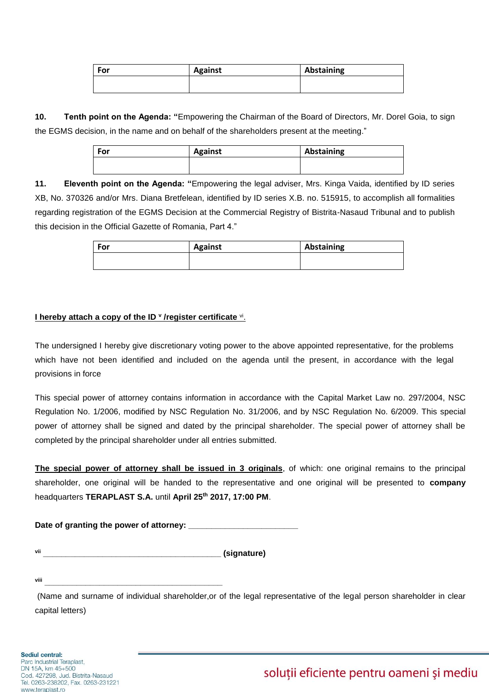| For | <b>Against</b> | Abstaining |
|-----|----------------|------------|
|     |                |            |

**10. Tenth point on the Agenda: "**Empowering the Chairman of the Board of Directors, Mr. Dorel Goia, to sign the EGMS decision, in the name and on behalf of the shareholders present at the meeting."

| For | <b>Against</b> | Abstaining |
|-----|----------------|------------|
|     |                |            |

**11. Eleventh point on the Agenda: "**Empowering the legal adviser, Mrs. Kinga Vaida, identified by ID series XB, No. 370326 and/or Mrs. Diana Bretfelean, identified by ID series X.B. no. 515915, to accomplish all formalities regarding registration of the EGMS Decision at the Commercial Registry of Bistrita-Nasaud Tribunal and to publish this decision in the Official Gazette of Romania, Part 4."

| For | <b>Against</b> | Abstaining |
|-----|----------------|------------|
|     |                |            |

### **I hereby attach a copy of the ID <sup>v</sup> /register certificate <sup>vi</sup>.**

The undersigned I hereby give discretionary voting power to the above appointed representative, for the problems which have not been identified and included on the agenda until the present, in accordance with the legal provisions in force

This special power of attorney contains information in accordance with the Capital Market Law no. 297/2004, NSC Regulation No. 1/2006, modified by NSC Regulation No. 31/2006, and by NSC Regulation No. 6/2009. This special power of attorney shall be signed and dated by the principal shareholder. The special power of attorney shall be completed by the principal shareholder under all entries submitted.

**The special power of attorney shall be issued in 3 originals**, of which: one original remains to the principal shareholder, one original will be handed to the representative and one original will be presented to **company** headquarters **TERAPLAST S.A.** until **April 25 th 2017, 17:00 PM**.

Date of granting the power of attorney: \_\_\_\_

**vii \_\_\_\_\_\_\_\_\_\_\_\_\_\_\_\_\_\_\_\_\_\_\_\_\_\_\_\_\_\_\_\_\_\_\_\_\_\_\_ (signature)**

**viii \_\_\_\_\_\_\_\_\_\_\_\_\_\_\_\_\_\_\_\_\_\_\_\_\_\_\_\_\_\_\_\_\_\_\_\_\_\_\_**

(Name and surname of individual shareholder,or of the legal representative of the legal person shareholder in clear capital letters)